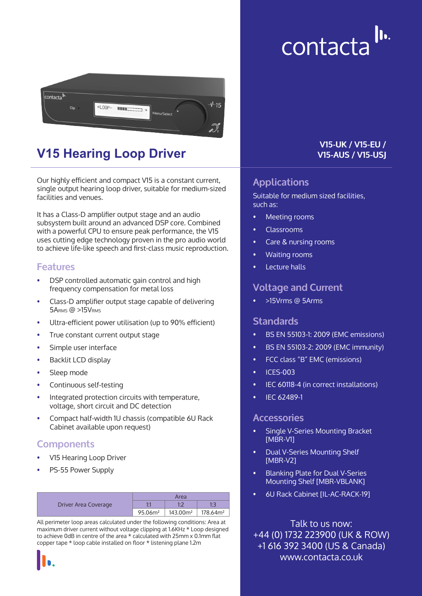# $\| \mathbf{b} \|$ contacta



## **V15 Hearing Loop Driver**

Our highly efficient and compact V15 is a constant current, single output hearing loop driver, suitable for medium-sized facilities and venues.

It has a Class-D amplifier output stage and an audio subsystem built around an advanced DSP core. Combined with a powerful CPU to ensure peak performance, the V15 uses cutting edge technology proven in the pro audio world to achieve life-like speech and first-class music reproduction.

#### **Features**

- DSP controlled automatic gain control and high frequency compensation for metal loss
- Class-D amplifier output stage capable of delivering 5ARMS @ >15VRMS
- Ultra-efficient power utilisation (up to 90% efficient)
- True constant current output stage
- Simple user interface
- Backlit LCD display
- Sleep mode
- Continuous self-testing
- Integrated protection circuits with temperature, voltage, short circuit and DC detection
- Compact half-width 1U chassis (compatible 6U Rack Cabinet available upon request)

## **Components**

- V15 Hearing Loop Driver
- PS-55 Power Supply

| Driver Area Coverage | Area                |          |                      |
|----------------------|---------------------|----------|----------------------|
|                      |                     |          |                      |
|                      | 95.06m <sup>2</sup> | 143.00m² | 178.64m <sup>2</sup> |

All perimeter loop areas calculated under the following conditions: Area at maximum driver current without voltage clipping at 1.6KHz \* Loop designed to achieve 0dB in centre of the area \* calculated with 25mm x 0.1mm flat copper tape \* loop cable installed on floor \* listening plane 1.2m



#### **V15-UK / V15-EU / V15-AUS / V15-USJ**

## **Applications**

Suitable for medium sized facilities, such as:

- Meeting rooms
- Classrooms
- Care & nursing rooms
- Waiting rooms
- Lecture halls

#### **Voltage and Current**

• >15Vrms @ 5Arms

#### **Standards**

- BS EN 55103-1: 2009 (EMC emissions)
- BS EN 55103-2: 2009 (EMC immunity)
- FCC class "B" EMC (emissions)
- ICES-003
- IEC 60118-4 (in correct installations)
- IEC 62489-1

#### **Accessories**

- Single V-Series Mounting Bracket [MBR-V1]
- Dual V-Series Mounting Shelf [MBR-V2]
- Blanking Plate for Dual V-Series Mounting Shelf [MBR-VBLANK]
- 6U Rack Cabinet [IL-AC-RACK-19]

Talk to us now: +44 (0) 1732 223900 (UK & ROW) +1 616 392 3400 (US & Canada) www.contacta.co.uk